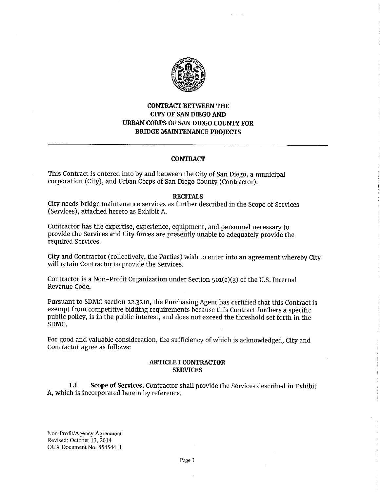

# **CONTRACT BETWEEN THE CITY OF SAN DIEGO AND URBAN CORPS OF SAN DIEGO COUNTY FOR BRIDGE MAINTENANCE PROJECTS**

### **CONTRACT**

This Contract is entered into by and between the City of San Diego, a municipal corporation (City), and Urban Corps of San Diego County (Contractor).

### **RECITALS**

City needs bridge maintenance services as further described in the Scope of Services (Services), attached hereto as Exhibit A.

Contractor has the expertise, experience, equipment, and personnel necessary to provide the Services and City forces are presently unable to adequately provide the required Services.

City and Contractor (collectively, the Parties) wish to enter into an agreement whereby City will retain Contractor to provide the Services.

Contractor is a Non-Profit Organization under Section  $501(c)(3)$  of the U.S. Internal Revenue Code.

Pursuant to SDMC section 22.3210, the Purchasing Agent has certified that this Contract is exempt from competitive bidding requirements because this Contract furthers a specific public policy, is in the public interest, and does not exceed the threshold set forth in the SDMC.

For good and valuable consideration, the sufficiency of which is acknowledged, City and Contractor agree as follows:

#### **ARTICLE** I **CONTRACTOR SERVICES**

**1.1 Scope of Services.** Contractor shall provide the Services described in Exhibit A, which is incorporated herein by reference.

Non-Profit/ Agency Agreement Revised: October 13, 2014 OCA Document No. 854544\_1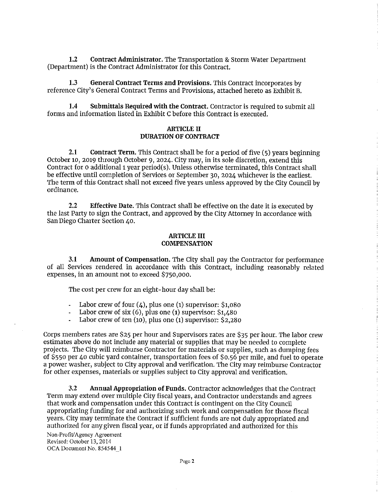**1.2 Contract Administrator.** The Transportation & Storm Water Department (Department) is the Contract Administrator for this Contract.

**1.3 General Contract Terms and Provisions.** This Contract incorporates by reference City's General Contract Terms and Provisions, attached hereto as Exhibit B.

**1.4 Submittals Required with the Contract.** Contractor is required to submit all forms and information listed in Exhibit C before this Contract is executed.

#### **ARTICLE** II **DURATION OF CONTRACT**

**2.1 Contract Term.** This Contract shall be for a period of five (5) years beginning October 10, 2019 through October 9, 2024. City may, in its sole discretion, extend this Contract for o additional 1 year period(s). Unless otherwise terminated, this Contract shall be effective until completion of Services or September 30, 2024 whichever is the earliest. The term of this Contract shall not exceed five years unless approved by the City Council by ordinance.

**2.2 Effective Date.** This Contract shall be effective on the date it is executed by the last Party to sign the Contract, and approved by the City Attorney in accordance with San Diego Charter Section 40.

#### **ARTICLE** III **COMPENSATION**

**3.1 Amount of Compensation.** The City shall pay the Contractor for performance of all Services rendered in accordance with this Contract, including reasonably related expenses, in an amount not to exceed \$750,000.

The cost per crew for an eight-hour day shall be:

- Labor crew of four  $(4)$ , plus one (1) supervisor: \$1,080
- Labor crew of six (6), plus one **(1)** supervisor: \$1,480
- Labor crew of ten (10), plus one (1) supervisor: \$2,280  $\overline{a}$

Corps members rates are \$25 per hour and Supervisors rates are \$35 per hour. The labor crew estimates above do not include any material or supplies that may be needed to complete projects. The City will reimburse Contractor for materials or supplies, such as dumping fees of \$550 per 40 cubic yard container, transportation fees of \$0.56 per mile, and fuel to operate a power washer, subject to City approval and verification. The City may reimburse Contractor for other expenses, materials or supplies subject to City approval and verification.

**3.2 Annual Appropriation of Funds.** Contractor acknowledges that the Contract Term may extend over multiple City fiscal years, and Contractor understands and agrees that work and compensation under this Contract is contingent on the City Council appropriating funding for and authorizing such work and compensation for those fiscal years. City may terminate the Contract if sufficient funds are not duly appropriated and authorized for any given fiscal year, or if funds appropriated and authorized for this

Non-Profit/ Agency Agreement Revised: October 13, 2014 OCA Document No. 854544\_1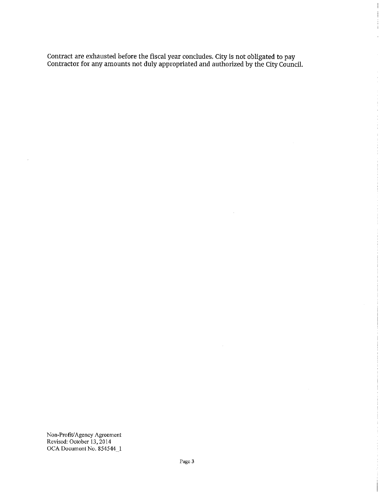Contract are exhausted before the fiscal year concludes. City is not obligated to pay Contractor for any amounts not duly appropriated and authorized by the City Council.  $\frac{1}{2}$ 

ŧ

ŧ

Non-Profit/Agency Agreement Revised: October 13, 2014 OCA Document No. 854544\_1  $\bar{z}$ 

 $\hat{\boldsymbol{\beta}}$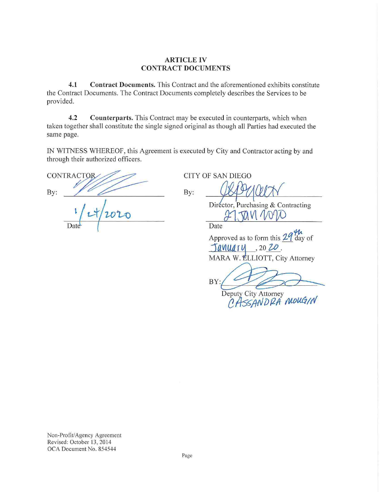## **ARTICLE IV CONTRACT DOCUMENTS**

 $4.1$ Contract Documents. This Contract and the aforementioned exhibits constitute the Contract Documents. The Contract Documents completely describes the Services to be provided.

Counterparts. This Contract may be executed in counterparts, which when  $4.2$ taken together shall constitute the single signed original as though all Parties had executed the same page.

IN WITNESS WHEREOF, this Agreement is executed by City and Contractor acting by and through their authorized officers.

CONTRACTOR By:

By:

**CITY OF SAN DIEGO** 

Director, Purchasing & Contracting 27.7011 101

Date

Approved as to form this  $29\frac{\mu}{\mu}$  day of January 2020. MARA W. ELLIOTT, City Attorney

BY

Deputy City Attorney<br>CASSANDRA MOUGIN

Non-Profit/Agency Agreement Revised: October 13, 2014 OCA Document No. 854544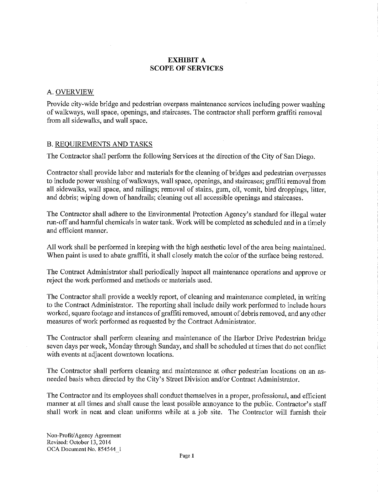# **EXHIBIT A SCOPE OF SERVICES**

## A.OVERVIEW

Provide city-wide bridge and pedestrian overpass maintenance services including power washing of walkways, wall space, openings, and staircases. The contractor shall perform graffiti removal from all sidewalks, and wall space.

## B. REQUIREMENTS AND TASKS

The Contractor shall perform the following Services at the direction of the City of San Diego.

Contractor shall provide labor and materials for the cleaning of bridges and pedestrian overpasses to include power washing of walkways, wall space, openings, and staircases; graffiti removal from all sidewalks, wall space, and railings; removal of stains, gum, oil, vomit, bird droppings, litter, and debris; wiping down of handrails; cleaning out all accessible openings and staircases.

The Contractor shall adhere to the Environmental Protection Agency's standard for illegal water run-off and harmful chemicals in water tank. Work will be completed as scheduled and in a timely and efficient manner.

All work shall be performed in keeping with the high aesthetic level of the area being maintained. When paint is used to abate graffiti, it shall closely match the color of the surface being restored.

The Contract Administrator shall periodically inspect all maintenance operations and approve or reject the work performed and methods or materials used.

The Contractor shall provide a weekly report, of cleaning and maintenance completed, in writing to the Contract Administrator. The reporting shall include daily work performed to include hours worked, square footage and instances of graffiti removed, amount of debris removed, and any other measures of work performed as requested by the Contract Administrator.

The Contractor shall perform cleaning and maintenance of the Harbor Drive Pedestrian bridge seven days per week, Monday through Sunday, and shall be scheduled at times that do not conflict with events at adjacent downtown locations.

The Contractor shall perform cleaning and maintenance at other pedestrian locations on an asneeded basis when directed by the City's Street Division and/or Contract Administrator.

The Contractor and its employees shall conduct themselves in a proper, professional, and efficient manner at all times and shall cause the least possible annoyance to the public. Contractor's staff shall work in neat and clean uniforms while at a job site. The Contractor will furnish their